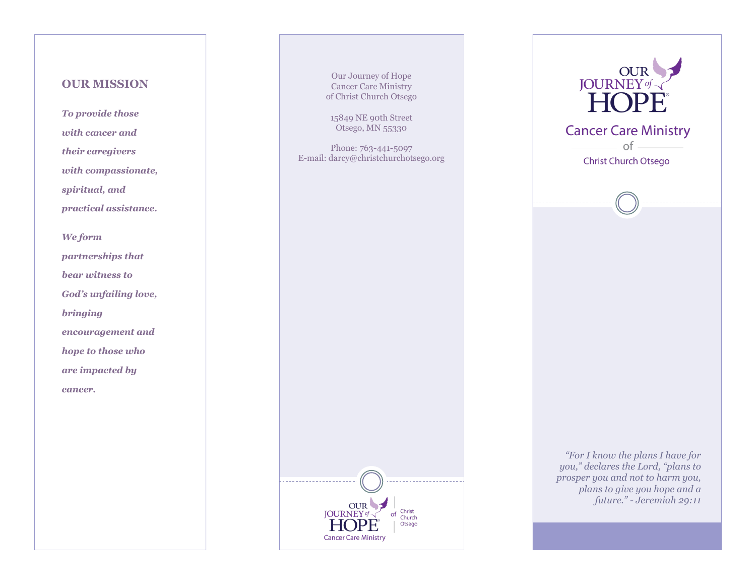# **OUR MISSION**

*To provide those with cancer and their caregivers with compassionate, spiritual, and practical assistance.*

*partnerships that bear witness to God's unfailing love, bringing encouragement and hope to those who are impacted by cancer.*

*We form* 

Our Journey of Hope Cancer Care Ministry of Christ Church Otsego

15849 NE 90th Street Otsego, MN 55330

Phone: 763-441-5097 E-mail: darcy@christchurchotsego.org



**OURNEY of Cancer Care Ministry**  $\circ$ f Christ Church Otsego

*"For I know the plans I have for you," declares the Lord, "plans to prosper you and not to harm you, plans to give you hope and a future." - Jeremiah 29:11*